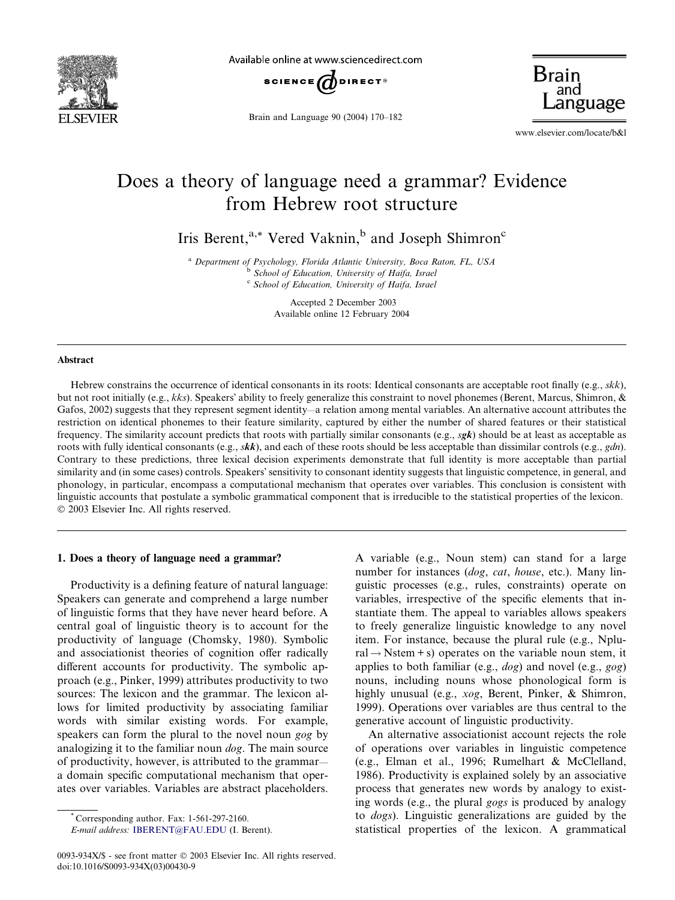

Available online at www.sciencedirect.com



Brain and Language 90 (2004) 170–182

**Brain** and anguage

www.elsevier.com/locate/b&l

# Does a theory of language need a grammar? Evidence from Hebrew root structure

Iris Berent,<sup>a,\*</sup> Vered Vaknin,<sup>b</sup> and Joseph Shimron<sup>c</sup>

<sup>a</sup> Department of Psychology, Florida Atlantic University, Boca Raton, FL, USA **b** School of Education, University of Haifa, Israel <sup>c</sup> School of Education, University of Haifa, Israel

> Accepted 2 December 2003 Available online 12 February 2004

#### Abstract

Hebrew constrains the occurrence of identical consonants in its roots: Identical consonants are acceptable root finally (e.g., skk), but not root initially (e.g., kks). Speakers' ability to freely generalize this constraint to novel phonemes (Berent, Marcus, Shimron, & Gafos, 2002) suggests that they represent segment identity—a relation among mental variables. An alternative account attributes the restriction on identical phonemes to their feature similarity, captured by either the number of shared features or their statistical frequency. The similarity account predicts that roots with partially similar consonants (e.g., sgk) should be at least as acceptable as roots with fully identical consonants (e.g.,  $skk$ ), and each of these roots should be less acceptable than dissimilar controls (e.g., gdn). Contrary to these predictions, three lexical decision experiments demonstrate that full identity is more acceptable than partial similarity and (in some cases) controls. Speakers' sensitivity to consonant identity suggests that linguistic competence, in general, and phonology, in particular, encompass a computational mechanism that operates over variables. This conclusion is consistent with linguistic accounts that postulate a symbolic grammatical component that is irreducible to the statistical properties of the lexicon. 2003 Elsevier Inc. All rights reserved.

# 1. Does a theory of language need a grammar?

Productivity is a defining feature of natural language: Speakers can generate and comprehend a large number of linguistic forms that they have never heard before. A central goal of linguistic theory is to account for the productivity of language (Chomsky, 1980). Symbolic and associationist theories of cognition offer radically different accounts for productivity. The symbolic approach (e.g., Pinker, 1999) attributes productivity to two sources: The lexicon and the grammar. The lexicon allows for limited productivity by associating familiar words with similar existing words. For example, speakers can form the plural to the novel noun gog by analogizing it to the familiar noun dog. The main source of productivity, however, is attributed to the grammar a domain specific computational mechanism that operates over variables. Variables are abstract placeholders.

\* Corresponding author. Fax: 1-561-297-2160.

A variable (e.g., Noun stem) can stand for a large number for instances (dog, cat, house, etc.). Many linguistic processes (e.g., rules, constraints) operate on variables, irrespective of the specific elements that instantiate them. The appeal to variables allows speakers to freely generalize linguistic knowledge to any novel item. For instance, because the plural rule (e.g., Nplu $ral \rightarrow Nstem + s$ ) operates on the variable noun stem, it applies to both familiar (e.g.,  $dog$ ) and novel (e.g.,  $gog$ ) nouns, including nouns whose phonological form is highly unusual (e.g., xog, Berent, Pinker, & Shimron, 1999). Operations over variables are thus central to the generative account of linguistic productivity.

An alternative associationist account rejects the role of operations over variables in linguistic competence (e.g., Elman et al., 1996; Rumelhart & McClelland, 1986). Productivity is explained solely by an associative process that generates new words by analogy to existing words (e.g., the plural gogs is produced by analogy to dogs). Linguistic generalizations are guided by the statistical properties of the lexicon. A grammatical

E-mail address: [IBERENT@FAU.EDU](mail to: IBERENT@FAU.EDU) (I. Berent).

<sup>0093-934</sup>X/\$ - see front matter  $\odot$  2003 Elsevier Inc. All rights reserved. doi:10.1016/S0093-934X(03)00430-9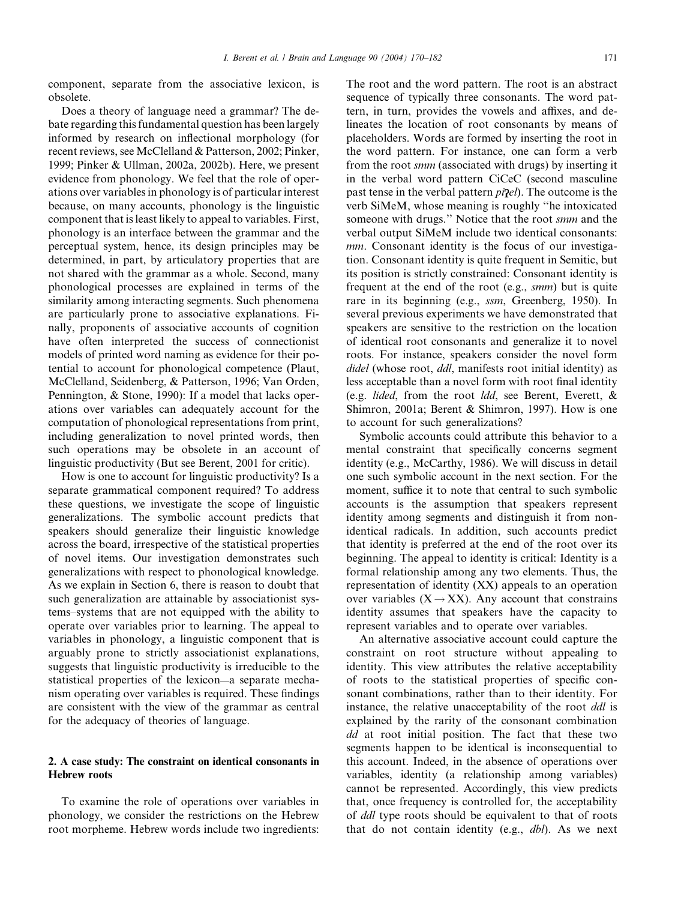component, separate from the associative lexicon, is obsolete.

Does a theory of language need a grammar? The debate regarding this fundamental question has been largely informed by research on inflectional morphology (for recent reviews, see McClelland & Patterson, 2002; Pinker, 1999; Pinker & Ullman, 2002a, 2002b). Here, we present evidence from phonology. We feel that the role of operations over variables in phonology is of particular interest because, on many accounts, phonology is the linguistic component that is least likely to appeal to variables. First, phonology is an interface between the grammar and the perceptual system, hence, its design principles may be determined, in part, by articulatory properties that are not shared with the grammar as a whole. Second, many phonological processes are explained in terms of the similarity among interacting segments. Such phenomena are particularly prone to associative explanations. Finally, proponents of associative accounts of cognition have often interpreted the success of connectionist models of printed word naming as evidence for their potential to account for phonological competence (Plaut, McClelland, Seidenberg, & Patterson, 1996; Van Orden, Pennington, & Stone, 1990): If a model that lacks operations over variables can adequately account for the computation of phonological representations from print, including generalization to novel printed words, then such operations may be obsolete in an account of linguistic productivity (But see Berent, 2001 for critic).

How is one to account for linguistic productivity? Is a separate grammatical component required? To address these questions, we investigate the scope of linguistic generalizations. The symbolic account predicts that speakers should generalize their linguistic knowledge across the board, irrespective of the statistical properties of novel items. Our investigation demonstrates such generalizations with respect to phonological knowledge. As we explain in Section 6, there is reason to doubt that such generalization are attainable by associationist systems–systems that are not equipped with the ability to operate over variables prior to learning. The appeal to variables in phonology, a linguistic component that is arguably prone to strictly associationist explanations, suggests that linguistic productivity is irreducible to the statistical properties of the lexicon—a separate mechanism operating over variables is required. These findings are consistent with the view of the grammar as central for the adequacy of theories of language.

# 2. A case study: The constraint on identical consonants in Hebrew roots

To examine the role of operations over variables in phonology, we consider the restrictions on the Hebrew root morpheme. Hebrew words include two ingredients: The root and the word pattern. The root is an abstract sequence of typically three consonants. The word pattern, in turn, provides the vowels and affixes, and delineates the location of root consonants by means of placeholders. Words are formed by inserting the root in the word pattern. For instance, one can form a verb from the root smm (associated with drugs) by inserting it in the verbal word pattern CiCeC (second masculine past tense in the verbal pattern  $pi$ ?el). The outcome is the verb SiMeM, whose meaning is roughly ''he intoxicated someone with drugs." Notice that the root smm and the verbal output SiMeM include two identical consonants: mm. Consonant identity is the focus of our investigation. Consonant identity is quite frequent in Semitic, but its position is strictly constrained: Consonant identity is frequent at the end of the root (e.g., smm) but is quite rare in its beginning (e.g., ssm, Greenberg, 1950). In several previous experiments we have demonstrated that speakers are sensitive to the restriction on the location of identical root consonants and generalize it to novel roots. For instance, speakers consider the novel form didel (whose root, ddl, manifests root initial identity) as less acceptable than a novel form with root final identity (e.g. lided, from the root ldd, see Berent, Everett, & Shimron, 2001a; Berent & Shimron, 1997). How is one to account for such generalizations?

Symbolic accounts could attribute this behavior to a mental constraint that specifically concerns segment identity (e.g., McCarthy, 1986). We will discuss in detail one such symbolic account in the next section. For the moment, suffice it to note that central to such symbolic accounts is the assumption that speakers represent identity among segments and distinguish it from nonidentical radicals. In addition, such accounts predict that identity is preferred at the end of the root over its beginning. The appeal to identity is critical: Identity is a formal relationship among any two elements. Thus, the representation of identity (XX) appeals to an operation over variables  $(X \rightarrow XX)$ . Any account that constrains identity assumes that speakers have the capacity to represent variables and to operate over variables.

An alternative associative account could capture the constraint on root structure without appealing to identity. This view attributes the relative acceptability of roots to the statistical properties of specific consonant combinations, rather than to their identity. For instance, the relative unacceptability of the root ddl is explained by the rarity of the consonant combination dd at root initial position. The fact that these two segments happen to be identical is inconsequential to this account. Indeed, in the absence of operations over variables, identity (a relationship among variables) cannot be represented. Accordingly, this view predicts that, once frequency is controlled for, the acceptability of ddl type roots should be equivalent to that of roots that do not contain identity (e.g.,  $dbl$ ). As we next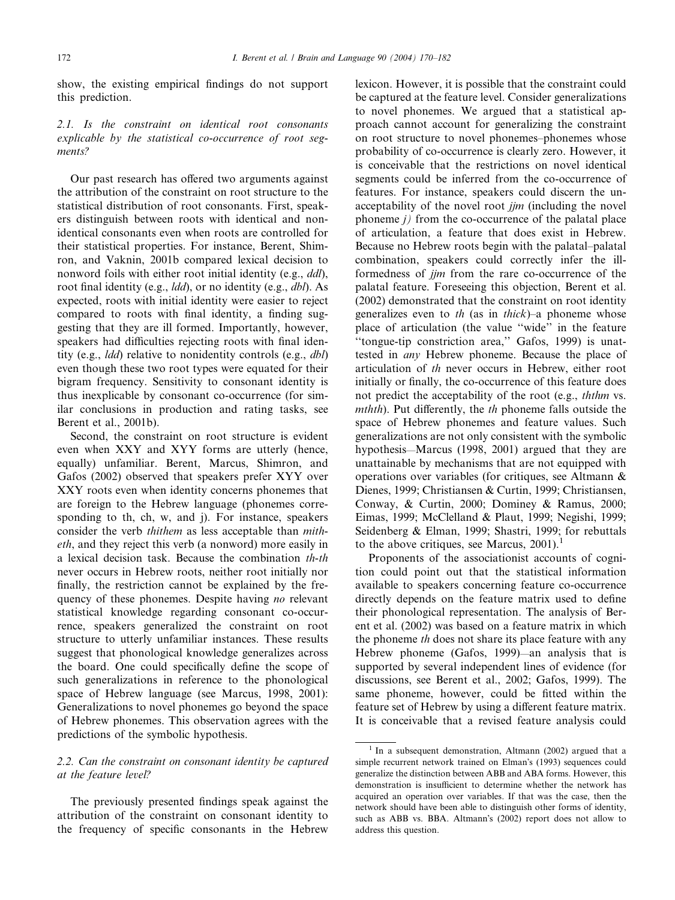show, the existing empirical findings do not support this prediction.

# 2.1. Is the constraint on identical root consonants explicable by the statistical co-occurrence of root segments?

Our past research has offered two arguments against the attribution of the constraint on root structure to the statistical distribution of root consonants. First, speakers distinguish between roots with identical and nonidentical consonants even when roots are controlled for their statistical properties. For instance, Berent, Shimron, and Vaknin, 2001b compared lexical decision to nonword foils with either root initial identity (e.g., ddl), root final identity (e.g., *ldd*), or no identity (e.g., *dbl*). As expected, roots with initial identity were easier to reject compared to roots with final identity, a finding suggesting that they are ill formed. Importantly, however, speakers had difficulties rejecting roots with final identity (e.g., ldd) relative to nonidentity controls (e.g., dbl) even though these two root types were equated for their bigram frequency. Sensitivity to consonant identity is thus inexplicable by consonant co-occurrence (for similar conclusions in production and rating tasks, see Berent et al., 2001b).

Second, the constraint on root structure is evident even when XXY and XYY forms are utterly (hence, equally) unfamiliar. Berent, Marcus, Shimron, and Gafos (2002) observed that speakers prefer XYY over XXY roots even when identity concerns phonemes that are foreign to the Hebrew language (phonemes corresponding to th, ch, w, and j). For instance, speakers consider the verb thithem as less acceptable than mitheth, and they reject this verb (a nonword) more easily in a lexical decision task. Because the combination th-th never occurs in Hebrew roots, neither root initially nor finally, the restriction cannot be explained by the frequency of these phonemes. Despite having no relevant statistical knowledge regarding consonant co-occurrence, speakers generalized the constraint on root structure to utterly unfamiliar instances. These results suggest that phonological knowledge generalizes across the board. One could specifically define the scope of such generalizations in reference to the phonological space of Hebrew language (see Marcus, 1998, 2001): Generalizations to novel phonemes go beyond the space of Hebrew phonemes. This observation agrees with the predictions of the symbolic hypothesis.

# 2.2. Can the constraint on consonant identity be captured at the feature level?

The previously presented findings speak against the attribution of the constraint on consonant identity to the frequency of specific consonants in the Hebrew lexicon. However, it is possible that the constraint could be captured at the feature level. Consider generalizations to novel phonemes. We argued that a statistical approach cannot account for generalizing the constraint on root structure to novel phonemes–phonemes whose probability of co-occurrence is clearly zero. However, it is conceivable that the restrictions on novel identical segments could be inferred from the co-occurrence of features. For instance, speakers could discern the unacceptability of the novel root jjm (including the novel phoneme j) from the co-occurrence of the palatal place of articulation, a feature that does exist in Hebrew. Because no Hebrew roots begin with the palatal–palatal combination, speakers could correctly infer the illformedness of jjm from the rare co-occurrence of the palatal feature. Foreseeing this objection, Berent et al. (2002) demonstrated that the constraint on root identity generalizes even to th (as in thick)–a phoneme whose place of articulation (the value ''wide'' in the feature ''tongue-tip constriction area,'' Gafos, 1999) is unattested in any Hebrew phoneme. Because the place of articulation of th never occurs in Hebrew, either root initially or finally, the co-occurrence of this feature does not predict the acceptability of the root (e.g., ththm vs. mthth). Put differently, the th phoneme falls outside the space of Hebrew phonemes and feature values. Such generalizations are not only consistent with the symbolic hypothesis—Marcus (1998, 2001) argued that they are unattainable by mechanisms that are not equipped with operations over variables (for critiques, see Altmann & Dienes, 1999; Christiansen & Curtin, 1999; Christiansen, Conway, & Curtin, 2000; Dominey & Ramus, 2000; Eimas, 1999; McClelland & Plaut, 1999; Negishi, 1999; Seidenberg & Elman, 1999; Shastri, 1999; for rebuttals to the above critiques, see Marcus,  $2001$ .<sup>1</sup>

Proponents of the associationist accounts of cognition could point out that the statistical information available to speakers concerning feature co-occurrence directly depends on the feature matrix used to define their phonological representation. The analysis of Berent et al. (2002) was based on a feature matrix in which the phoneme *th* does not share its place feature with any Hebrew phoneme (Gafos, 1999)—an analysis that is supported by several independent lines of evidence (for discussions, see Berent et al., 2002; Gafos, 1999). The same phoneme, however, could be fitted within the feature set of Hebrew by using a different feature matrix. It is conceivable that a revised feature analysis could

 $1$  In a subsequent demonstration, Altmann (2002) argued that a simple recurrent network trained on Elman's (1993) sequences could generalize the distinction between ABB and ABA forms. However, this demonstration is insufficient to determine whether the network has acquired an operation over variables. If that was the case, then the network should have been able to distinguish other forms of identity, such as ABB vs. BBA. Altmann's (2002) report does not allow to address this question.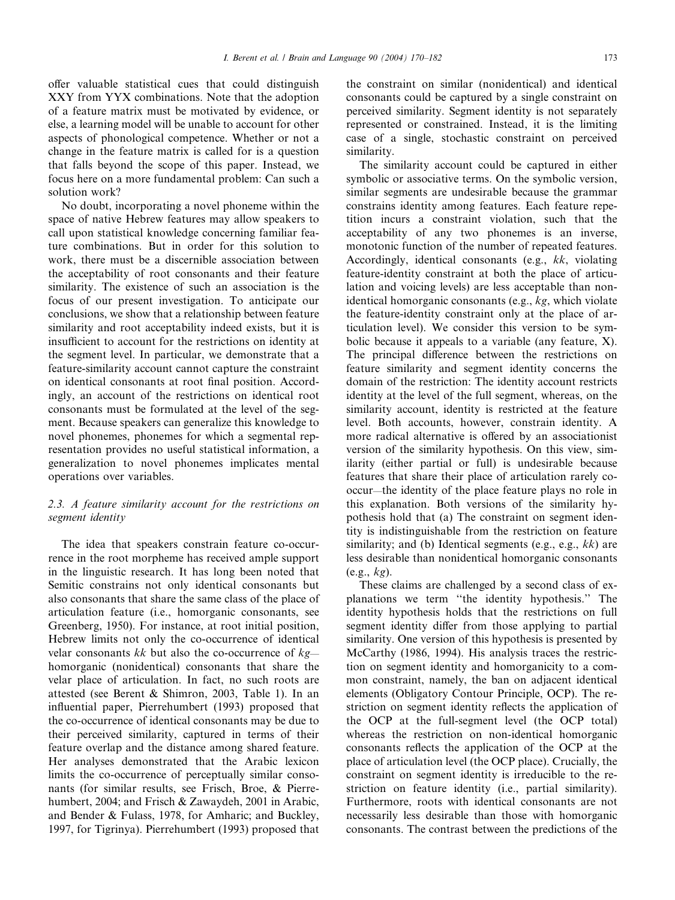offer valuable statistical cues that could distinguish XXY from YYX combinations. Note that the adoption of a feature matrix must be motivated by evidence, or else, a learning model will be unable to account for other aspects of phonological competence. Whether or not a change in the feature matrix is called for is a question that falls beyond the scope of this paper. Instead, we focus here on a more fundamental problem: Can such a solution work?

No doubt, incorporating a novel phoneme within the space of native Hebrew features may allow speakers to call upon statistical knowledge concerning familiar feature combinations. But in order for this solution to work, there must be a discernible association between the acceptability of root consonants and their feature similarity. The existence of such an association is the focus of our present investigation. To anticipate our conclusions, we show that a relationship between feature similarity and root acceptability indeed exists, but it is insufficient to account for the restrictions on identity at the segment level. In particular, we demonstrate that a feature-similarity account cannot capture the constraint on identical consonants at root final position. Accordingly, an account of the restrictions on identical root consonants must be formulated at the level of the segment. Because speakers can generalize this knowledge to novel phonemes, phonemes for which a segmental representation provides no useful statistical information, a generalization to novel phonemes implicates mental operations over variables.

# 2.3. A feature similarity account for the restrictions on segment identity

The idea that speakers constrain feature co-occurrence in the root morpheme has received ample support in the linguistic research. It has long been noted that Semitic constrains not only identical consonants but also consonants that share the same class of the place of articulation feature (i.e., homorganic consonants, see Greenberg, 1950). For instance, at root initial position, Hebrew limits not only the co-occurrence of identical velar consonants  $kk$  but also the co-occurrence of  $kg$  homorganic (nonidentical) consonants that share the velar place of articulation. In fact, no such roots are attested (see Berent & Shimron, 2003, Table 1). In an influential paper, Pierrehumbert (1993) proposed that the co-occurrence of identical consonants may be due to their perceived similarity, captured in terms of their feature overlap and the distance among shared feature. Her analyses demonstrated that the Arabic lexicon limits the co-occurrence of perceptually similar consonants (for similar results, see Frisch, Broe, & Pierrehumbert, 2004; and Frisch & Zawaydeh, 2001 in Arabic, and Bender & Fulass, 1978, for Amharic; and Buckley, 1997, for Tigrinya). Pierrehumbert (1993) proposed that the constraint on similar (nonidentical) and identical consonants could be captured by a single constraint on perceived similarity. Segment identity is not separately represented or constrained. Instead, it is the limiting case of a single, stochastic constraint on perceived similarity.

The similarity account could be captured in either symbolic or associative terms. On the symbolic version, similar segments are undesirable because the grammar constrains identity among features. Each feature repetition incurs a constraint violation, such that the acceptability of any two phonemes is an inverse, monotonic function of the number of repeated features. Accordingly, identical consonants (e.g., kk, violating feature-identity constraint at both the place of articulation and voicing levels) are less acceptable than nonidentical homorganic consonants (e.g., kg, which violate the feature-identity constraint only at the place of articulation level). We consider this version to be symbolic because it appeals to a variable (any feature, X). The principal difference between the restrictions on feature similarity and segment identity concerns the domain of the restriction: The identity account restricts identity at the level of the full segment, whereas, on the similarity account, identity is restricted at the feature level. Both accounts, however, constrain identity. A more radical alternative is offered by an associationist version of the similarity hypothesis. On this view, similarity (either partial or full) is undesirable because features that share their place of articulation rarely cooccur—the identity of the place feature plays no role in this explanation. Both versions of the similarity hypothesis hold that (a) The constraint on segment identity is indistinguishable from the restriction on feature similarity; and (b) Identical segments (e.g., e.g.,  $kk$ ) are less desirable than nonidentical homorganic consonants  $(e.g., kg)$ .

These claims are challenged by a second class of explanations we term ''the identity hypothesis.'' The identity hypothesis holds that the restrictions on full segment identity differ from those applying to partial similarity. One version of this hypothesis is presented by McCarthy (1986, 1994). His analysis traces the restriction on segment identity and homorganicity to a common constraint, namely, the ban on adjacent identical elements (Obligatory Contour Principle, OCP). The restriction on segment identity reflects the application of the OCP at the full-segment level (the OCP total) whereas the restriction on non-identical homorganic consonants reflects the application of the OCP at the place of articulation level (the OCP place). Crucially, the constraint on segment identity is irreducible to the restriction on feature identity (i.e., partial similarity). Furthermore, roots with identical consonants are not necessarily less desirable than those with homorganic consonants. The contrast between the predictions of the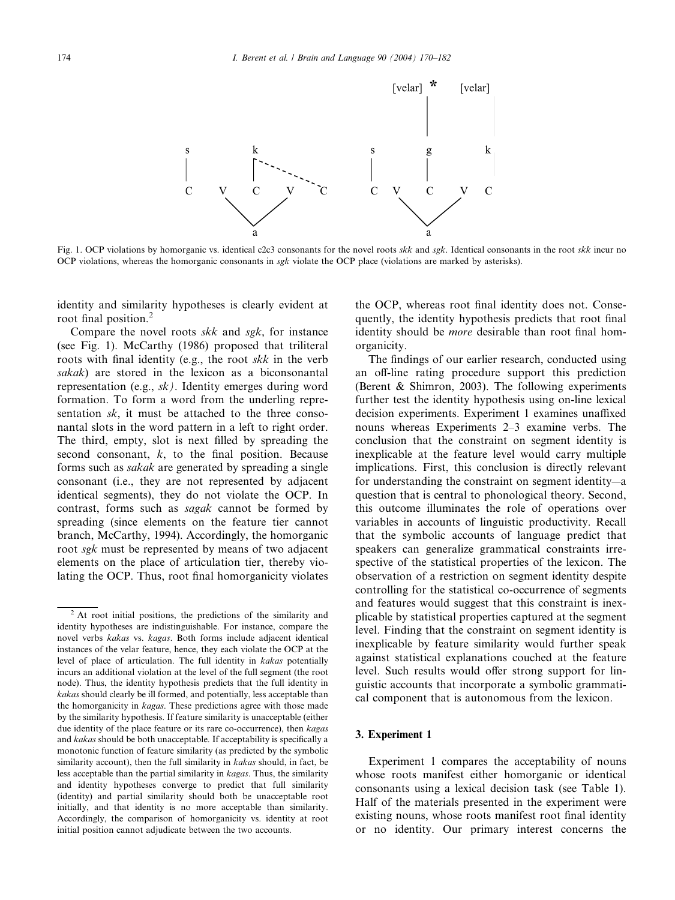

Fig. 1. OCP violations by homorganic vs. identical c2c3 consonants for the novel roots skk and sgk. Identical consonants in the root skk incur no OCP violations, whereas the homorganic consonants in  $sgk$  violate the OCP place (violations are marked by asterisks).

identity and similarity hypotheses is clearly evident at root final position.<sup>2</sup>

Compare the novel roots skk and sgk, for instance (see Fig. 1). McCarthy (1986) proposed that triliteral roots with final identity (e.g., the root skk in the verb sakak) are stored in the lexicon as a biconsonantal representation (e.g., sk). Identity emerges during word formation. To form a word from the underling representation sk, it must be attached to the three consonantal slots in the word pattern in a left to right order. The third, empty, slot is next filled by spreading the second consonant,  $k$ , to the final position. Because forms such as sakak are generated by spreading a single consonant (i.e., they are not represented by adjacent identical segments), they do not violate the OCP. In contrast, forms such as sagak cannot be formed by spreading (since elements on the feature tier cannot branch, McCarthy, 1994). Accordingly, the homorganic root sgk must be represented by means of two adjacent elements on the place of articulation tier, thereby violating the OCP. Thus, root final homorganicity violates the OCP, whereas root final identity does not. Consequently, the identity hypothesis predicts that root final identity should be *more* desirable than root final homorganicity.

The findings of our earlier research, conducted using an off-line rating procedure support this prediction (Berent & Shimron, 2003). The following experiments further test the identity hypothesis using on-line lexical decision experiments. Experiment 1 examines unaffixed nouns whereas Experiments 2–3 examine verbs. The conclusion that the constraint on segment identity is inexplicable at the feature level would carry multiple implications. First, this conclusion is directly relevant for understanding the constraint on segment identity—a question that is central to phonological theory. Second, this outcome illuminates the role of operations over variables in accounts of linguistic productivity. Recall that the symbolic accounts of language predict that speakers can generalize grammatical constraints irrespective of the statistical properties of the lexicon. The observation of a restriction on segment identity despite controlling for the statistical co-occurrence of segments and features would suggest that this constraint is inexplicable by statistical properties captured at the segment level. Finding that the constraint on segment identity is inexplicable by feature similarity would further speak against statistical explanations couched at the feature level. Such results would offer strong support for linguistic accounts that incorporate a symbolic grammatical component that is autonomous from the lexicon.

#### 3. Experiment 1

Experiment 1 compares the acceptability of nouns whose roots manifest either homorganic or identical consonants using a lexical decision task (see Table 1). Half of the materials presented in the experiment were existing nouns, whose roots manifest root final identity or no identity. Our primary interest concerns the

<sup>&</sup>lt;sup>2</sup> At root initial positions, the predictions of the similarity and identity hypotheses are indistinguishable. For instance, compare the novel verbs kakas vs. kagas. Both forms include adjacent identical instances of the velar feature, hence, they each violate the OCP at the level of place of articulation. The full identity in kakas potentially incurs an additional violation at the level of the full segment (the root node). Thus, the identity hypothesis predicts that the full identity in kakas should clearly be ill formed, and potentially, less acceptable than the homorganicity in kagas. These predictions agree with those made by the similarity hypothesis. If feature similarity is unacceptable (either due identity of the place feature or its rare co-occurrence), then kagas and kakas should be both unacceptable. If acceptability is specifically a monotonic function of feature similarity (as predicted by the symbolic similarity account), then the full similarity in *kakas* should, in fact, be less acceptable than the partial similarity in kagas. Thus, the similarity and identity hypotheses converge to predict that full similarity (identity) and partial similarity should both be unacceptable root initially, and that identity is no more acceptable than similarity. Accordingly, the comparison of homorganicity vs. identity at root initial position cannot adjudicate between the two accounts.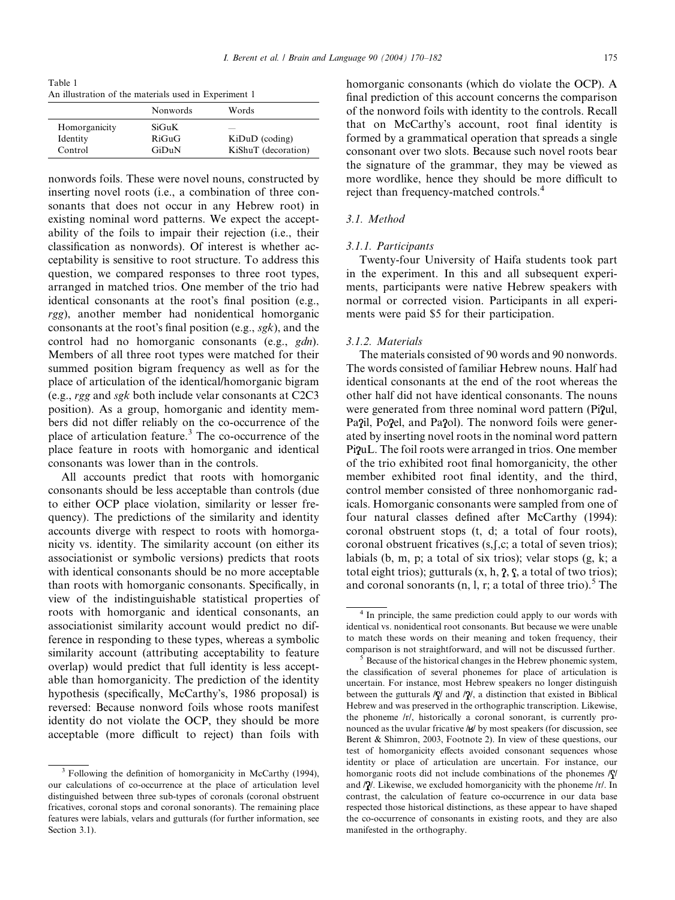Table 1 An illustration of the materials used in Experiment 1

|               | Nonwords | Words               |
|---------------|----------|---------------------|
| Homorganicity | SiGuK    | $-$                 |
| Identity      | $R$ iGuG | $KiDuD$ (coding)    |
| Control       | GiDuN    | KiShuT (decoration) |

nonwords foils. These were novel nouns, constructed by inserting novel roots (i.e., a combination of three consonants that does not occur in any Hebrew root) in existing nominal word patterns. We expect the acceptability of the foils to impair their rejection (i.e., their classification as nonwords). Of interest is whether acceptability is sensitive to root structure. To address this question, we compared responses to three root types, arranged in matched trios. One member of the trio had identical consonants at the root's final position (e.g., rgg), another member had nonidentical homorganic consonants at the root's final position (e.g.,  $sgk$ ), and the control had no homorganic consonants (e.g., *gdn*). Members of all three root types were matched for their summed position bigram frequency as well as for the place of articulation of the identical/homorganic bigram (e.g., rgg and sgk both include velar consonants at C2C3 position). As a group, homorganic and identity members did not differ reliably on the co-occurrence of the place of articulation feature.<sup>3</sup> The co-occurrence of the place feature in roots with homorganic and identical consonants was lower than in the controls.

All accounts predict that roots with homorganic consonants should be less acceptable than controls (due to either OCP place violation, similarity or lesser frequency). The predictions of the similarity and identity accounts diverge with respect to roots with homorganicity vs. identity. The similarity account (on either its associationist or symbolic versions) predicts that roots with identical consonants should be no more acceptable than roots with homorganic consonants. Specifically, in view of the indistinguishable statistical properties of roots with homorganic and identical consonants, an associationist similarity account would predict no difference in responding to these types, whereas a symbolic similarity account (attributing acceptability to feature overlap) would predict that full identity is less acceptable than homorganicity. The prediction of the identity hypothesis (specifically, McCarthy's, 1986 proposal) is reversed: Because nonword foils whose roots manifest identity do not violate the OCP, they should be more acceptable (more difficult to reject) than foils with

homorganic consonants (which do violate the OCP). A final prediction of this account concerns the comparison of the nonword foils with identity to the controls. Recall that on McCarthy's account, root final identity is formed by a grammatical operation that spreads a single consonant over two slots. Because such novel roots bear the signature of the grammar, they may be viewed as more wordlike, hence they should be more difficult to reject than frequency-matched controls.<sup>4</sup>

#### 3.1. Method

#### 3.1.1. Participants

Twenty-four University of Haifa students took part in the experiment. In this and all subsequent experiments, participants were native Hebrew speakers with normal or corrected vision. Participants in all experiments were paid \$5 for their participation.

## 3.1.2. Materials

The materials consisted of 90 words and 90 nonwords. The words consisted of familiar Hebrew nouns. Half had identical consonants at the end of the root whereas the other half did not have identical consonants. The nouns were generated from three nominal word pattern (Pi $\gamma$ ul, Pa il, Po el, and Pa ol). The nonword foils were generated by inserting novel roots in the nominal word pattern Pi PuL. The foil roots were arranged in trios. One member of the trio exhibited root final homorganicity, the other member exhibited root final identity, and the third, control member consisted of three nonhomorganic radicals. Homorganic consonants were sampled from one of four natural classes defined after McCarthy (1994): coronal obstruent stops (t, d; a total of four roots), coronal obstruent fricatives (s, f, c; a total of seven trios); labials (b, m, p; a total of six trios); velar stops (g, k; a total eight trios); gutturals  $(x, h, ?, ?, a$  total of two trios); and coronal sonorants  $(n, l, r; a total of three trio).$ <sup>5</sup> The

 $3$  Following the definition of homorganicity in McCarthy (1994), our calculations of co-occurrence at the place of articulation level distinguished between three sub-types of coronals (coronal obstruent fricatives, coronal stops and coronal sonorants). The remaining place features were labials, velars and gutturals (for further information, see Section 3.1).

<sup>&</sup>lt;sup>4</sup> In principle, the same prediction could apply to our words with identical vs. nonidentical root consonants. But because we were unable to match these words on their meaning and token frequency, their comparison is not straightforward, and will not be discussed further. <sup>5</sup> Because of the historical changes in the Hebrew phonemic system,

the classification of several phonemes for place of articulation is uncertain. For instance, most Hebrew speakers no longer distinguish between the gutturals  $\int \int$  and  $\int \int$ , a distinction that existed in Biblical Hebrew and was preserved in the orthographic transcription. Likewise, the phoneme /r/, historically a coronal sonorant, is currently pronounced as the uvular fricative  $\mathcal{H}$  by most speakers (for discussion, see Berent & Shimron, 2003, Footnote 2). In view of these questions, our test of homorganicity effects avoided consonant sequences whose identity or place of articulation are uncertain. For instance, our homorganic roots did not include combinations of the phonemes  $\sqrt{\gamma}$ and  $\frac{1}{2}$ . Likewise, we excluded homorganicity with the phoneme /r/. In contrast, the calculation of feature co-occurrence in our data base respected those historical distinctions, as these appear to have shaped the co-occurrence of consonants in existing roots, and they are also manifested in the orthography.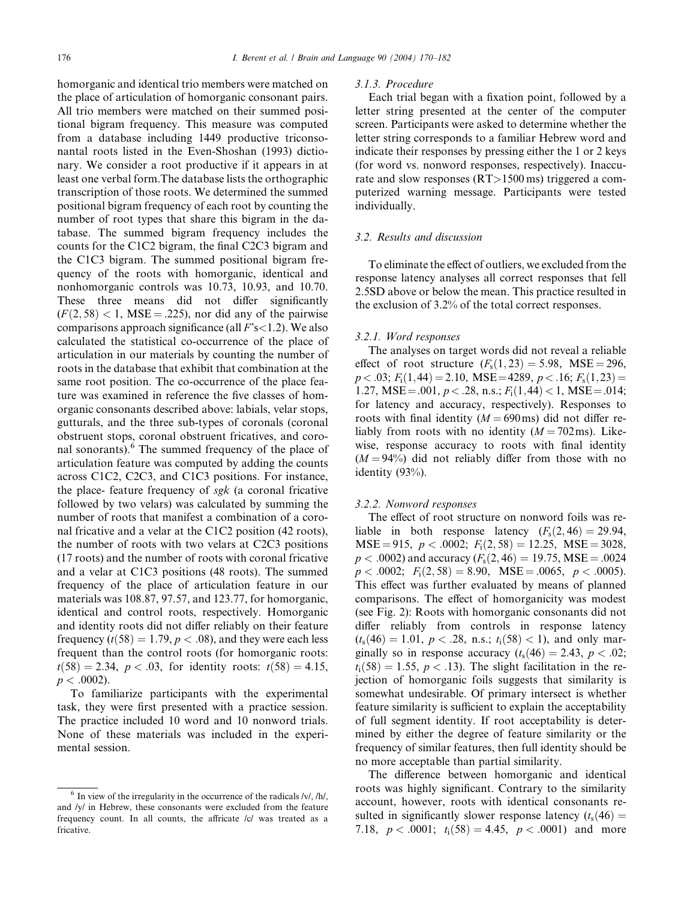homorganic and identical trio members were matched on the place of articulation of homorganic consonant pairs. All trio members were matched on their summed positional bigram frequency. This measure was computed from a database including 1449 productive triconsonantal roots listed in the Even-Shoshan (1993) dictionary. We consider a root productive if it appears in at least one verbal form.The database lists the orthographic transcription of those roots. We determined the summed positional bigram frequency of each root by counting the number of root types that share this bigram in the database. The summed bigram frequency includes the counts for the C1C2 bigram, the final C2C3 bigram and the C1C3 bigram. The summed positional bigram frequency of the roots with homorganic, identical and nonhomorganic controls was 10.73, 10.93, and 10.70. These three means did not differ significantly  $(F(2, 58) < 1, \text{ MSE} = .225)$ , nor did any of the pairwise comparisons approach significance (all  $F$ 's $<$ 1.2). We also calculated the statistical co-occurrence of the place of articulation in our materials by counting the number of roots in the database that exhibit that combination at the same root position. The co-occurrence of the place feature was examined in reference the five classes of homorganic consonants described above: labials, velar stops, gutturals, and the three sub-types of coronals (coronal obstruent stops, coronal obstruent fricatives, and coronal sonorants). $6$  The summed frequency of the place of articulation feature was computed by adding the counts across C1C2, C2C3, and C1C3 positions. For instance, the place- feature frequency of  $sgk$  (a coronal fricative followed by two velars) was calculated by summing the number of roots that manifest a combination of a coronal fricative and a velar at the C1C2 position (42 roots), the number of roots with two velars at C2C3 positions (17 roots) and the number of roots with coronal fricative and a velar at C1C3 positions (48 roots). The summed frequency of the place of articulation feature in our materials was 108.87, 97.57, and 123.77, for homorganic, identical and control roots, respectively. Homorganic and identity roots did not differ reliably on their feature frequency  $(t(58) = 1.79, p < .08)$ , and they were each less frequent than the control roots (for homorganic roots:  $t(58) = 2.34$ ,  $p < .03$ , for identity roots:  $t(58) = 4.15$ ,  $p < .0002$ ).

To familiarize participants with the experimental task, they were first presented with a practice session. The practice included 10 word and 10 nonword trials. None of these materials was included in the experimental session.

#### 3.1.3. Procedure

Each trial began with a fixation point, followed by a letter string presented at the center of the computer screen. Participants were asked to determine whether the letter string corresponds to a familiar Hebrew word and indicate their responses by pressing either the 1 or 2 keys (for word vs. nonword responses, respectively). Inaccurate and slow responses (RT>1500 ms) triggered a computerized warning message. Participants were tested individually.

# 3.2. Results and discussion

To eliminate the effect of outliers, we excluded from the response latency analyses all correct responses that fell 2.5SD above or below the mean. This practice resulted in the exclusion of 3.2% of the total correct responses.

### 3.2.1. Word responses

The analyses on target words did not reveal a reliable effect of root structure  $(F_s(1, 23) = 5.98, \text{ MSE} = 296,$  $p < .03$ ;  $F<sub>i</sub>(1,44) = 2.10$ , MSE = 4289,  $p < .16$ ;  $F<sub>s</sub>(1,23) =$ 1.27, MSE = .001,  $p < 0.28$ , n.s.;  $F_i(1, 44) < 1$ , MSE = .014; for latency and accuracy, respectively). Responses to roots with final identity ( $M = 690$  ms) did not differ reliably from roots with no identity  $(M = 702 \text{ ms})$ . Likewise, response accuracy to roots with final identity  $(M = 94\%)$  did not reliably differ from those with no identity (93%).

#### 3.2.2. Nonword responses

The effect of root structure on nonword foils was reliable in both response latency  $(F_s(2, 46) = 29.94,$  $MSE = 915$ ,  $p < .0002$ ;  $F<sub>i</sub>(2, 58) = 12.25$ ,  $MSE = 3028$ ,  $p < .0002$ ) and accuracy ( $F_s(2, 46) = 19.75$ , MSE = .0024  $p < .0002$ ;  $F<sub>i</sub>(2, 58) = 8.90$ ,  $MSE = .0065$ ,  $p < .0005$ ). This effect was further evaluated by means of planned comparisons. The effect of homorganicity was modest (see Fig. 2): Roots with homorganic consonants did not differ reliably from controls in response latency  $(t_s(46) = 1.01, p < .28, n.s.; t_i(58) < 1),$  and only marginally so in response accuracy  $(t_s/46) = 2.43$ ,  $p < .02$ ;  $t_i(58) = 1.55$ ,  $p < .13$ ). The slight facilitation in the rejection of homorganic foils suggests that similarity is somewhat undesirable. Of primary intersect is whether feature similarity is sufficient to explain the acceptability of full segment identity. If root acceptability is determined by either the degree of feature similarity or the frequency of similar features, then full identity should be no more acceptable than partial similarity.

The difference between homorganic and identical roots was highly significant. Contrary to the similarity account, however, roots with identical consonants resulted in significantly slower response latency  $(t_s/46)$  = 7.18,  $p < .0001$ ;  $t_i(58) = 4.45$ ,  $p < .0001$ ) and more

 $6$  In view of the irregularity in the occurrence of the radicals /v/, /h/, and /y/ in Hebrew, these consonants were excluded from the feature frequency count. In all counts, the affricate /c/ was treated as a fricative.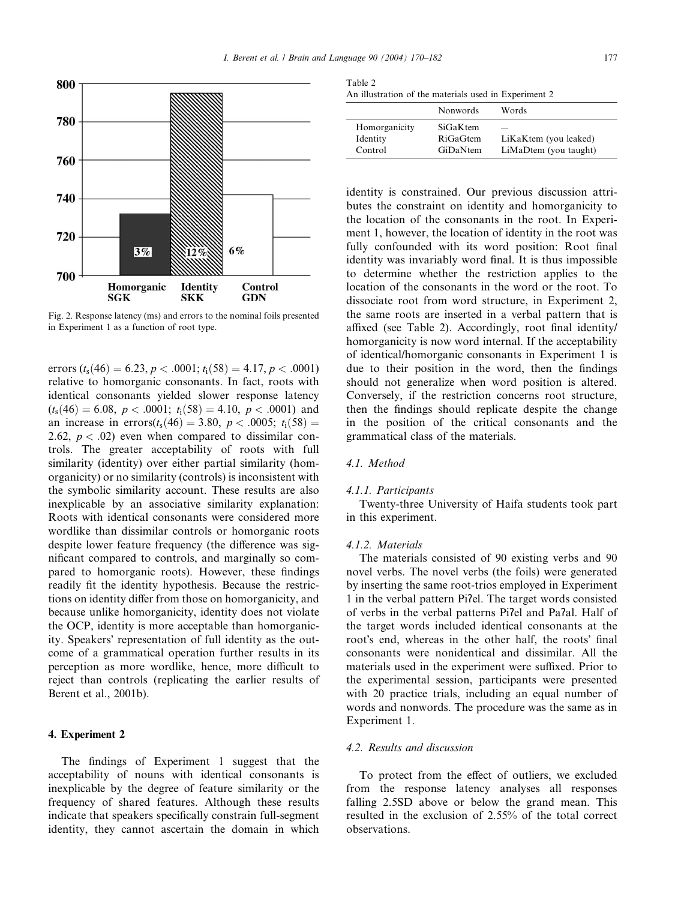

Fig. 2. Response latency (ms) and errors to the nominal foils presented in Experiment 1 as a function of root type.

errors ( $t_s$ (46) = 6.23, p < .0001;  $t_i$ (58) = 4.17, p < .0001) relative to homorganic consonants. In fact, roots with identical consonants yielded slower response latency  $(t_s/46) = 6.08, p < .0001; t_i(58) = 4.10, p < .0001$  and an increase in errors $(t_s(46) = 3.80, p < .0005; t_i(58) =$ 2.62,  $p < .02$ ) even when compared to dissimilar controls. The greater acceptability of roots with full similarity (identity) over either partial similarity (homorganicity) or no similarity (controls) is inconsistent with the symbolic similarity account. These results are also inexplicable by an associative similarity explanation: Roots with identical consonants were considered more wordlike than dissimilar controls or homorganic roots despite lower feature frequency (the difference was significant compared to controls, and marginally so compared to homorganic roots). However, these findings readily fit the identity hypothesis. Because the restrictions on identity differ from those on homorganicity, and because unlike homorganicity, identity does not violate the OCP, identity is more acceptable than homorganicity. Speakers' representation of full identity as the outcome of a grammatical operation further results in its perception as more wordlike, hence, more difficult to reject than controls (replicating the earlier results of Berent et al., 2001b).

# 4. Experiment 2

The findings of Experiment 1 suggest that the acceptability of nouns with identical consonants is inexplicable by the degree of feature similarity or the frequency of shared features. Although these results indicate that speakers specifically constrain full-segment identity, they cannot ascertain the domain in which

| Table 2                                               |  |  |  |
|-------------------------------------------------------|--|--|--|
| An illustration of the materials used in Experiment 2 |  |  |  |

|                                      | Nonwords                         | Words                                          |
|--------------------------------------|----------------------------------|------------------------------------------------|
| Homorganicity<br>Identity<br>Control | SiGaKtem<br>RiGaGtem<br>GiDaNtem | LiKaKtem (you leaked)<br>LiMaDtem (you taught) |

identity is constrained. Our previous discussion attributes the constraint on identity and homorganicity to the location of the consonants in the root. In Experiment 1, however, the location of identity in the root was fully confounded with its word position: Root final identity was invariably word final. It is thus impossible to determine whether the restriction applies to the location of the consonants in the word or the root. To dissociate root from word structure, in Experiment 2, the same roots are inserted in a verbal pattern that is affixed (see Table 2). Accordingly, root final identity/ homorganicity is now word internal. If the acceptability of identical/homorganic consonants in Experiment 1 is due to their position in the word, then the findings should not generalize when word position is altered. Conversely, if the restriction concerns root structure, then the findings should replicate despite the change in the position of the critical consonants and the grammatical class of the materials.

## 4.1. Method

#### 4.1.1. Participants

Twenty-three University of Haifa students took part in this experiment.

#### 4.1.2. Materials

The materials consisted of 90 existing verbs and 90 novel verbs. The novel verbs (the foils) were generated by inserting the same root-trios employed in Experiment 1 in the verbal pattern Pi?el. The target words consisted of verbs in the verbal patterns Pi?el and Pa?al. Half of the target words included identical consonants at the root's end, whereas in the other half, the roots' final consonants were nonidentical and dissimilar. All the materials used in the experiment were suffixed. Prior to the experimental session, participants were presented with 20 practice trials, including an equal number of words and nonwords. The procedure was the same as in Experiment 1.

# 4.2. Results and discussion

To protect from the effect of outliers, we excluded from the response latency analyses all responses falling 2.5SD above or below the grand mean. This resulted in the exclusion of 2.55% of the total correct observations.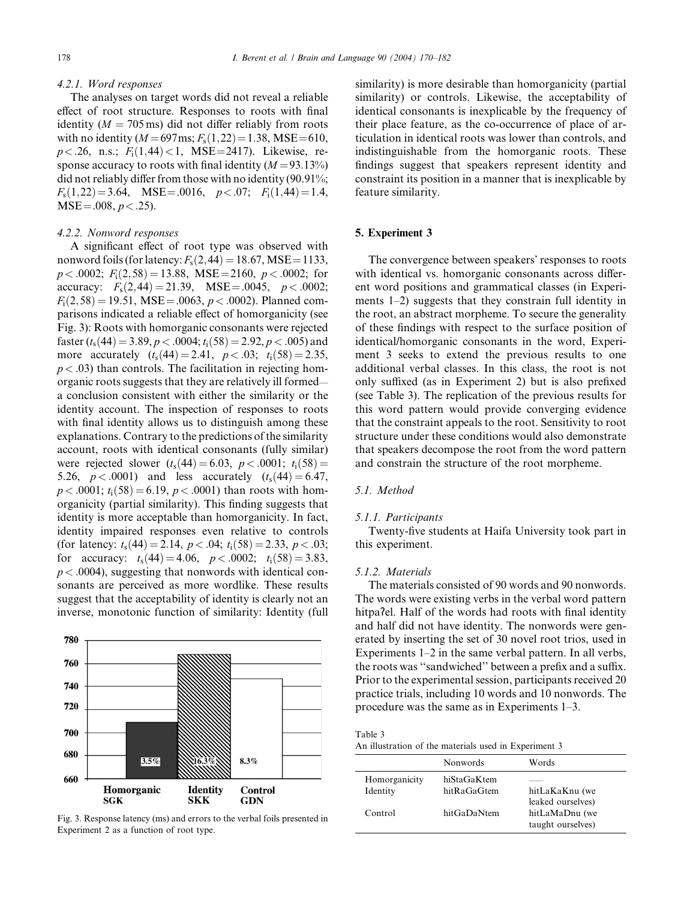#### 4.2.1. Word responses

The analyses on target words did not reveal a reliable effect of root structure. Responses to roots with final identity ( $M = 705$  ms) did not differ reliably from roots with no identity ( $M = 697$ ms;  $F_s(1,22) = 1.38$ , MSE = 610,  $p < .26$ , n.s.;  $F_1(1,44) < 1$ , MSE = 2417). Likewise, response accuracy to roots with final identity  $(M=93.13\%)$ did not reliably differ from those with no identity (90.91%;  $F<sub>s</sub>(1,22) = 3.64$ , MSE = .0016,  $p < .07$ ;  $F<sub>i</sub>(1,44) = 1.4$ ,  $MSE = .008, p < .25$ ).

#### 4.2.2. Nonword responses

A significant effect of root type was observed with nonword foils (for latency:  $F_s(2,44) = 18.67$ , MSE = 1133,  $p < .0002$ ;  $F_1(2, 58) = 13.88$ , MSE = 2160,  $p < .0002$ ; for accuracy:  $F_s(2,44) = 21.39$ , MSE = .0045,  $p < .0002$ ;  $F_1(2,58) = 19.51$ , MSE = .0063,  $p < .0002$ ). Planned comparisons indicated a reliable effect of homorganicity (see Fig. 3): Roots with homorganic consonants were rejected faster ( $t_s$ (44) = 3.89, p < .0004;  $t_i$ (58) = 2.92, p < .005) and more accurately  $(t_s(44) = 2.41, p < .03; t_i(58) = 2.35,$  $p < .03$ ) than controls. The facilitation in rejecting homorganic roots suggests that they are relatively ill formed a conclusion consistent with either the similarity or the identity account. The inspection of responses to roots with final identity allows us to distinguish among these explanations. Contrary to the predictions of the similarity account, roots with identical consonants (fully similar) were rejected slower  $(t_s(44) = 6.03, p < .0001; t_i(58) =$ 5.26,  $p < .0001$ ) and less accurately  $(t_s(44) = 6.47,$  $p < .0001$ ;  $t_i(58) = 6.19$ ,  $p < .0001$ ) than roots with homorganicity (partial similarity). This finding suggests that identity is more acceptable than homorganicity. In fact, identity impaired responses even relative to controls (for latency:  $t_s(44) = 2.14$ ,  $p < .04$ ;  $t_i(58) = 2.33$ ,  $p < .03$ ; for accuracy:  $t_s(44) = 4.06$ ,  $p < .0002$ ;  $t_i(58) = 3.83$ ,  $p < .0004$ ), suggesting that nonwords with identical consonants are perceived as more wordlike. These results suggest that the acceptability of identity is clearly not an inverse, monotonic function of similarity: Identity (full



Fig. 3. Response latency (ms) and errors to the verbal foils presented in Experiment 2 as a function of root type.

similarity) is more desirable than homorganicity (partial similarity) or controls. Likewise, the acceptability of identical consonants is inexplicable by the frequency of their place feature, as the co-occurrence of place of articulation in identical roots was lower than controls, and indistinguishable from the homorganic roots. These findings suggest that speakers represent identity and constraint its position in a manner that is inexplicable by feature similarity.

## 5. Experiment 3

The convergence between speakers' responses to roots with identical vs. homorganic consonants across different word positions and grammatical classes (in Experiments 1–2) suggests that they constrain full identity in the root, an abstract morpheme. To secure the generality of these findings with respect to the surface position of identical/homorganic consonants in the word, Experiment 3 seeks to extend the previous results to one additional verbal classes. In this class, the root is not only suffixed (as in Experiment 2) but is also prefixed (see Table 3). The replication of the previous results for this word pattern would provide converging evidence that the constraint appeals to the root. Sensitivity to root structure under these conditions would also demonstrate that speakers decompose the root from the word pattern and constrain the structure of the root morpheme.

# 5.1. Method

#### 5.1.1. Participants

Twenty-five students at Haifa University took part in this experiment.

# 5.1.2. Materials

The materials consisted of 90 words and 90 nonwords. The words were existing verbs in the verbal word pattern hitpa?el. Half of the words had roots with final identity and half did not have identity. The nonwords were generated by inserting the set of 30 novel root trios, used in Experiments 1–2 in the same verbal pattern. In all verbs, the roots was ''sandwiched'' between a prefix and a suffix. Prior to the experimental session, participants received 20 practice trials, including 10 words and 10 nonwords. The procedure was the same as in Experiments 1–3.

| ble 3      |                                                                                                                                                                                                                                |  |  |
|------------|--------------------------------------------------------------------------------------------------------------------------------------------------------------------------------------------------------------------------------|--|--|
| $\cdot$ 11 | and the contract of the contract of the contract of the contract of the contract of the contract of the contract of the contract of the contract of the contract of the contract of the contract of the contract of the contra |  |  |

Table 3

An illustration of the materials used in Experiment 3

|                                      | Nonwords                                  | Words                                                                      |
|--------------------------------------|-------------------------------------------|----------------------------------------------------------------------------|
| Homorganicity<br>Identity<br>Control | hiStaGaKtem<br>hitRaGaGtem<br>hitGaDaNtem | hitLaKaKnu (we<br>leaked ourselves)<br>hitLaMaDnu (we<br>taught ourselves) |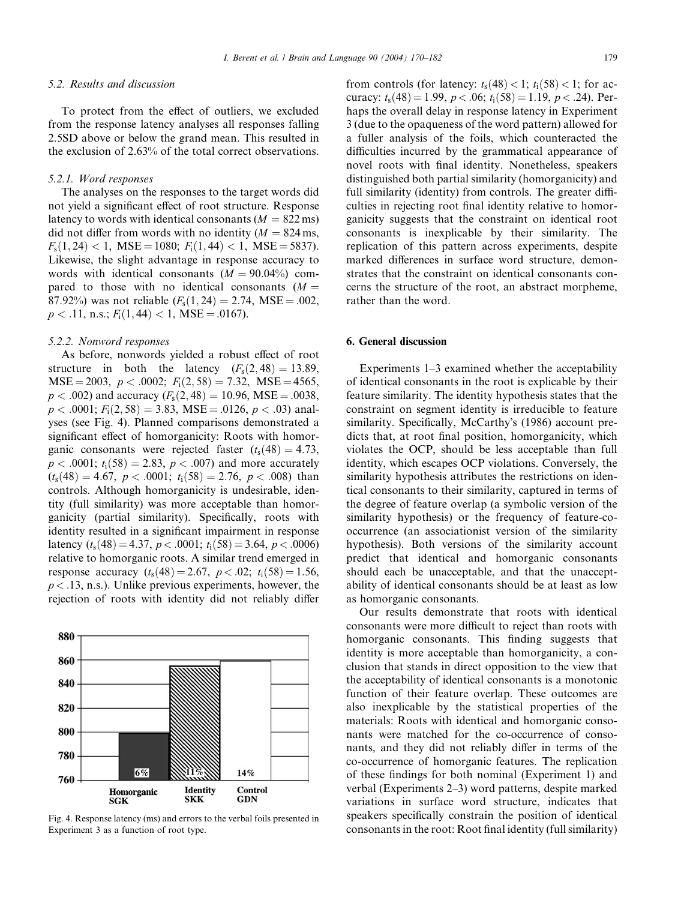#### I. Berent et al. *| Brain and Language 90 (2004) 170–182* 179

#### 5.2. Results and discussion

To protect from the effect of outliers, we excluded from the response latency analyses all responses falling 2.5SD above or below the grand mean. This resulted in the exclusion of 2.63% of the total correct observations.

#### 5.2.1. Word responses

The analyses on the responses to the target words did not yield a significant effect of root structure. Response latency to words with identical consonants ( $M = 822 \text{ ms}$ ) did not differ from words with no identity  $(M = 824 \text{ ms})$ ,  $F<sub>s</sub>(1, 24) < 1$ , MSE = 1080;  $F<sub>i</sub>(1, 44) < 1$ , MSE = 5837). Likewise, the slight advantage in response accuracy to words with identical consonants  $(M = 90.04\%)$  compared to those with no identical consonants  $(M =$ 87.92%) was not reliable  $(F_s(1, 24) = 2.74, \text{MSE} = .002,$  $p < .11$ , n.s.;  $F_i(1, 44) < 1$ , MSE = .0167).

#### 5.2.2. Nonword responses

As before, nonwords yielded a robust effect of root structure in both the latency  $(F_s(2, 48) = 13.89,$  $MSE = 2003$ ,  $p < .0002$ ;  $F<sub>i</sub>(2, 58) = 7.32$ ,  $MSE = 4565$ ,  $p < .002$ ) and accuracy  $(F_s(2, 48) = 10.96, \text{MSE} = .0038,$  $p < .0001$ ;  $F<sub>i</sub>(2, 58) = 3.83$ , MSE = .0126,  $p < .03$ ) analyses (see Fig. 4). Planned comparisons demonstrated a significant effect of homorganicity: Roots with homorganic consonants were rejected faster  $(t_s(48) = 4.73$ ,  $p < .0001$ ;  $t_i(58) = 2.83$ ,  $p < .007$ ) and more accurately  $(t_s(48) = 4.67, p < .0001; t_i(58) = 2.76, p < .008)$  than controls. Although homorganicity is undesirable, identity (full similarity) was more acceptable than homorganicity (partial similarity). Specifically, roots with identity resulted in a significant impairment in response latency  $(t_s(48) = 4.37, p < .0001; t_i(58) = 3.64, p < .0006)$ relative to homorganic roots. A similar trend emerged in response accuracy  $(t_s(48) = 2.67, p < .02; t_i(58) = 1.56,$  $p < .13$ , n.s.). Unlike previous experiments, however, the rejection of roots with identity did not reliably differ



Fig. 4. Response latency (ms) and errors to the verbal foils presented in Experiment 3 as a function of root type.

from controls (for latency:  $t_s(48) < 1$ ;  $t_i(58) < 1$ ; for accuracy:  $t_s(48) = 1.99$ ,  $p < .06$ ;  $t_i(58) = 1.19$ ,  $p < .24$ ). Perhaps the overall delay in response latency in Experiment 3 (due to the opaqueness of the word pattern) allowed for a fuller analysis of the foils, which counteracted the difficulties incurred by the grammatical appearance of novel roots with final identity. Nonetheless, speakers distinguished both partial similarity (homorganicity) and full similarity (identity) from controls. The greater difficulties in rejecting root final identity relative to homorganicity suggests that the constraint on identical root consonants is inexplicable by their similarity. The replication of this pattern across experiments, despite marked differences in surface word structure, demonstrates that the constraint on identical consonants concerns the structure of the root, an abstract morpheme, rather than the word.

#### 6. General discussion

Experiments 1–3 examined whether the acceptability of identical consonants in the root is explicable by their feature similarity. The identity hypothesis states that the constraint on segment identity is irreducible to feature similarity. Specifically, McCarthy's (1986) account predicts that, at root final position, homorganicity, which violates the OCP, should be less acceptable than full identity, which escapes OCP violations. Conversely, the similarity hypothesis attributes the restrictions on identical consonants to their similarity, captured in terms of the degree of feature overlap (a symbolic version of the similarity hypothesis) or the frequency of feature-cooccurrence (an associationist version of the similarity hypothesis). Both versions of the similarity account predict that identical and homorganic consonants should each be unacceptable, and that the unacceptability of identical consonants should be at least as low as homorganic consonants.

Our results demonstrate that roots with identical consonants were more difficult to reject than roots with homorganic consonants. This finding suggests that identity is more acceptable than homorganicity, a conclusion that stands in direct opposition to the view that the acceptability of identical consonants is a monotonic function of their feature overlap. These outcomes are also inexplicable by the statistical properties of the materials: Roots with identical and homorganic consonants were matched for the co-occurrence of consonants, and they did not reliably differ in terms of the co-occurrence of homorganic features. The replication of these findings for both nominal (Experiment 1) and verbal (Experiments 2–3) word patterns, despite marked variations in surface word structure, indicates that speakers specifically constrain the position of identical consonants in the root: Root final identity (full similarity)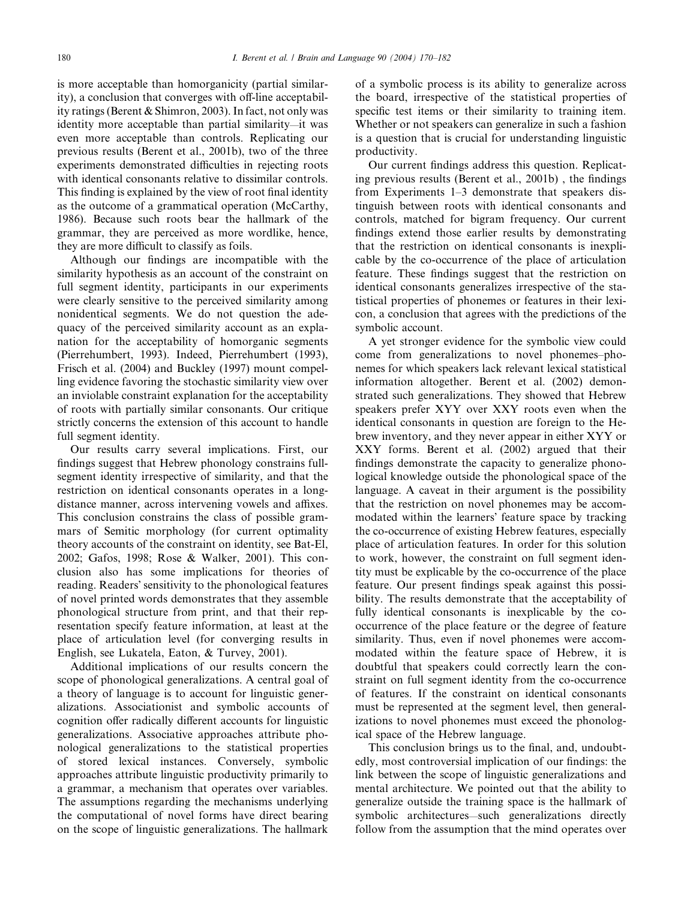is more acceptable than homorganicity (partial similarity), a conclusion that converges with off-line acceptability ratings (Berent & Shimron, 2003). In fact, not only was identity more acceptable than partial similarity—it was even more acceptable than controls. Replicating our previous results (Berent et al., 2001b), two of the three experiments demonstrated difficulties in rejecting roots with identical consonants relative to dissimilar controls. This finding is explained by the view of root final identity as the outcome of a grammatical operation (McCarthy, 1986). Because such roots bear the hallmark of the grammar, they are perceived as more wordlike, hence, they are more difficult to classify as foils.

Although our findings are incompatible with the similarity hypothesis as an account of the constraint on full segment identity, participants in our experiments were clearly sensitive to the perceived similarity among nonidentical segments. We do not question the adequacy of the perceived similarity account as an explanation for the acceptability of homorganic segments (Pierrehumbert, 1993). Indeed, Pierrehumbert (1993), Frisch et al. (2004) and Buckley (1997) mount compelling evidence favoring the stochastic similarity view over an inviolable constraint explanation for the acceptability of roots with partially similar consonants. Our critique strictly concerns the extension of this account to handle full segment identity.

Our results carry several implications. First, our findings suggest that Hebrew phonology constrains fullsegment identity irrespective of similarity, and that the restriction on identical consonants operates in a longdistance manner, across intervening vowels and affixes. This conclusion constrains the class of possible grammars of Semitic morphology (for current optimality theory accounts of the constraint on identity, see Bat-El, 2002; Gafos, 1998; Rose & Walker, 2001). This conclusion also has some implications for theories of reading. Readers' sensitivity to the phonological features of novel printed words demonstrates that they assemble phonological structure from print, and that their representation specify feature information, at least at the place of articulation level (for converging results in English, see Lukatela, Eaton, & Turvey, 2001).

Additional implications of our results concern the scope of phonological generalizations. A central goal of a theory of language is to account for linguistic generalizations. Associationist and symbolic accounts of cognition offer radically different accounts for linguistic generalizations. Associative approaches attribute phonological generalizations to the statistical properties of stored lexical instances. Conversely, symbolic approaches attribute linguistic productivity primarily to a grammar, a mechanism that operates over variables. The assumptions regarding the mechanisms underlying the computational of novel forms have direct bearing on the scope of linguistic generalizations. The hallmark

of a symbolic process is its ability to generalize across the board, irrespective of the statistical properties of specific test items or their similarity to training item. Whether or not speakers can generalize in such a fashion is a question that is crucial for understanding linguistic productivity.

Our current findings address this question. Replicating previous results (Berent et al., 2001b) , the findings from Experiments 1–3 demonstrate that speakers distinguish between roots with identical consonants and controls, matched for bigram frequency. Our current findings extend those earlier results by demonstrating that the restriction on identical consonants is inexplicable by the co-occurrence of the place of articulation feature. These findings suggest that the restriction on identical consonants generalizes irrespective of the statistical properties of phonemes or features in their lexicon, a conclusion that agrees with the predictions of the symbolic account.

A yet stronger evidence for the symbolic view could come from generalizations to novel phonemes–phonemes for which speakers lack relevant lexical statistical information altogether. Berent et al. (2002) demonstrated such generalizations. They showed that Hebrew speakers prefer XYY over XXY roots even when the identical consonants in question are foreign to the Hebrew inventory, and they never appear in either XYY or XXY forms. Berent et al. (2002) argued that their findings demonstrate the capacity to generalize phonological knowledge outside the phonological space of the language. A caveat in their argument is the possibility that the restriction on novel phonemes may be accommodated within the learners' feature space by tracking the co-occurrence of existing Hebrew features, especially place of articulation features. In order for this solution to work, however, the constraint on full segment identity must be explicable by the co-occurrence of the place feature. Our present findings speak against this possibility. The results demonstrate that the acceptability of fully identical consonants is inexplicable by the cooccurrence of the place feature or the degree of feature similarity. Thus, even if novel phonemes were accommodated within the feature space of Hebrew, it is doubtful that speakers could correctly learn the constraint on full segment identity from the co-occurrence of features. If the constraint on identical consonants must be represented at the segment level, then generalizations to novel phonemes must exceed the phonological space of the Hebrew language.

This conclusion brings us to the final, and, undoubtedly, most controversial implication of our findings: the link between the scope of linguistic generalizations and mental architecture. We pointed out that the ability to generalize outside the training space is the hallmark of symbolic architectures—such generalizations directly follow from the assumption that the mind operates over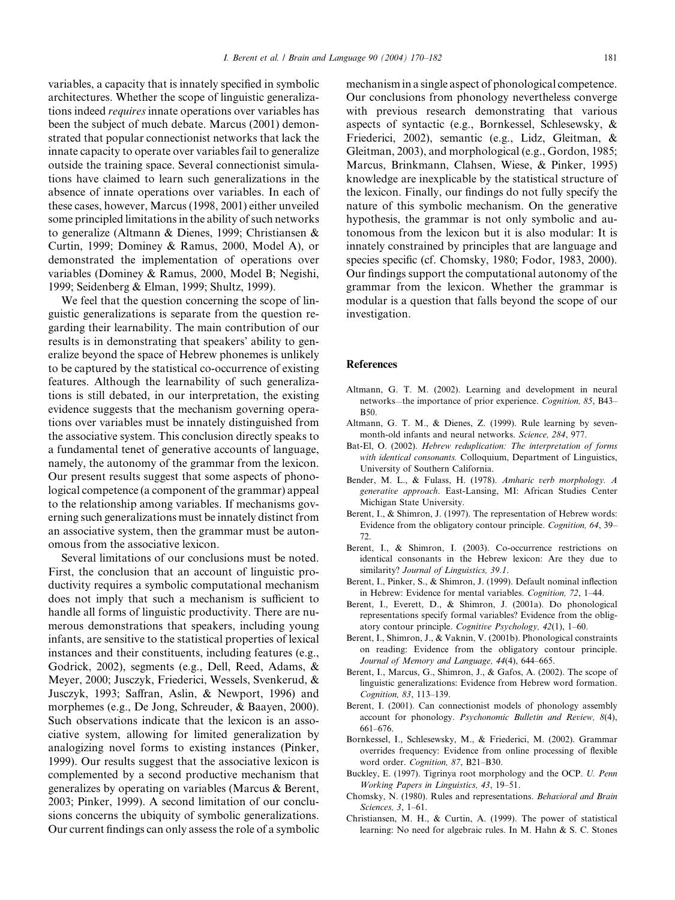variables, a capacity that is innately specified in symbolic architectures. Whether the scope of linguistic generalizations indeed requires innate operations over variables has been the subject of much debate. Marcus (2001) demonstrated that popular connectionist networks that lack the innate capacity to operate over variables fail to generalize outside the training space. Several connectionist simulations have claimed to learn such generalizations in the absence of innate operations over variables. In each of these cases, however, Marcus (1998, 2001) either unveiled some principled limitations in the ability of such networks to generalize (Altmann & Dienes, 1999; Christiansen & Curtin, 1999; Dominey & Ramus, 2000, Model A), or demonstrated the implementation of operations over variables (Dominey & Ramus, 2000, Model B; Negishi, 1999; Seidenberg & Elman, 1999; Shultz, 1999).

We feel that the question concerning the scope of linguistic generalizations is separate from the question regarding their learnability. The main contribution of our results is in demonstrating that speakers' ability to generalize beyond the space of Hebrew phonemes is unlikely to be captured by the statistical co-occurrence of existing features. Although the learnability of such generalizations is still debated, in our interpretation, the existing evidence suggests that the mechanism governing operations over variables must be innately distinguished from the associative system. This conclusion directly speaks to a fundamental tenet of generative accounts of language, namely, the autonomy of the grammar from the lexicon. Our present results suggest that some aspects of phonological competence (a component of the grammar) appeal to the relationship among variables. If mechanisms governing such generalizations must be innately distinct from an associative system, then the grammar must be autonomous from the associative lexicon.

Several limitations of our conclusions must be noted. First, the conclusion that an account of linguistic productivity requires a symbolic computational mechanism does not imply that such a mechanism is sufficient to handle all forms of linguistic productivity. There are numerous demonstrations that speakers, including young infants, are sensitive to the statistical properties of lexical instances and their constituents, including features (e.g., Godrick, 2002), segments (e.g., Dell, Reed, Adams, & Meyer, 2000; Jusczyk, Friederici, Wessels, Svenkerud, & Jusczyk, 1993; Saffran, Aslin, & Newport, 1996) and morphemes (e.g., De Jong, Schreuder, & Baayen, 2000). Such observations indicate that the lexicon is an associative system, allowing for limited generalization by analogizing novel forms to existing instances (Pinker, 1999). Our results suggest that the associative lexicon is complemented by a second productive mechanism that generalizes by operating on variables (Marcus & Berent, 2003; Pinker, 1999). A second limitation of our conclusions concerns the ubiquity of symbolic generalizations. Our current findings can only assess the role of a symbolic mechanism in a single aspect of phonological competence. Our conclusions from phonology nevertheless converge with previous research demonstrating that various aspects of syntactic (e.g., Bornkessel, Schlesewsky, & Friederici, 2002), semantic (e.g., Lidz, Gleitman, & Gleitman, 2003), and morphological (e.g., Gordon, 1985; Marcus, Brinkmann, Clahsen, Wiese, & Pinker, 1995) knowledge are inexplicable by the statistical structure of the lexicon. Finally, our findings do not fully specify the nature of this symbolic mechanism. On the generative hypothesis, the grammar is not only symbolic and autonomous from the lexicon but it is also modular: It is innately constrained by principles that are language and species specific (cf. Chomsky, 1980; Fodor, 1983, 2000). Our findings support the computational autonomy of the grammar from the lexicon. Whether the grammar is modular is a question that falls beyond the scope of our investigation.

#### References

- Altmann, G. T. M. (2002). Learning and development in neural networks—the importance of prior experience. Cognition, 85, B43– B50.
- Altmann, G. T. M., & Dienes, Z. (1999). Rule learning by sevenmonth-old infants and neural networks. Science, 284, 977.
- Bat-El, O. (2002). Hebrew reduplication: The interpretation of forms with identical consonants. Colloquium, Department of Linguistics, University of Southern California.
- Bender, M. L., & Fulass, H. (1978). Amharic verb morphology. A generative approach. East-Lansing, MI: African Studies Center Michigan State University.
- Berent, I., & Shimron, J. (1997). The representation of Hebrew words: Evidence from the obligatory contour principle. Cognition, 64, 39– 72.
- Berent, I., & Shimron, I. (2003). Co-occurrence restrictions on identical consonants in the Hebrew lexicon: Are they due to similarity? Journal of Linguistics, 39.1.
- Berent, I., Pinker, S., & Shimron, J. (1999). Default nominal inflection in Hebrew: Evidence for mental variables. Cognition, 72, 1–44.
- Berent, I., Everett, D., & Shimron, J. (2001a). Do phonological representations specify formal variables? Evidence from the obligatory contour principle. Cognitive Psychology, 42(1), 1–60.
- Berent, I., Shimron, J., & Vaknin, V. (2001b). Phonological constraints on reading: Evidence from the obligatory contour principle. Journal of Memory and Language, 44(4), 644–665.
- Berent, I., Marcus, G., Shimron, J., & Gafos, A. (2002). The scope of linguistic generalizations: Evidence from Hebrew word formation. Cognition, 83, 113–139.
- Berent, I. (2001). Can connectionist models of phonology assembly account for phonology. Psychonomic Bulletin and Review, 8(4), 661–676.
- Bornkessel, I., Schlesewsky, M., & Friederici, M. (2002). Grammar overrides frequency: Evidence from online processing of flexible word order. Cognition, 87, B21–B30.
- Buckley, E. (1997). Tigrinya root morphology and the OCP. U. Penn Working Papers in Linguistics, 43, 19–51.
- Chomsky, N. (1980). Rules and representations. Behavioral and Brain Sciences, 3, 1–61.
- Christiansen, M. H., & Curtin, A. (1999). The power of statistical learning: No need for algebraic rules. In M. Hahn & S. C. Stones